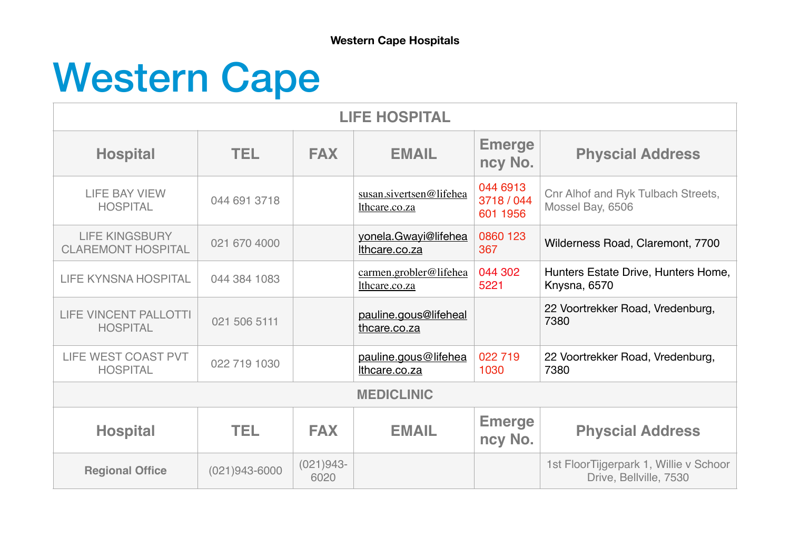## Western Cape

| <b>LIFE HOSPITAL</b>                               |                   |                     |                                          |                                    |                                                                  |  |
|----------------------------------------------------|-------------------|---------------------|------------------------------------------|------------------------------------|------------------------------------------------------------------|--|
| <b>Hospital</b>                                    | TEL.              | <b>FAX</b>          | <b>EMAIL</b>                             | <b>Emerge</b><br>ncy No.           | <b>Physcial Address</b>                                          |  |
| <b>LIFE BAY VIEW</b><br><b>HOSPITAL</b>            | 044 691 3718      |                     | susan.sivertsen@lifehea<br>lthcare.co.za | 044 6913<br>3718 / 044<br>601 1956 | Cnr Alhof and Ryk Tulbach Streets,<br>Mossel Bay, 6506           |  |
| <b>LIFE KINGSBURY</b><br><b>CLAREMONT HOSPITAL</b> | 021 670 4000      |                     | yonela.Gwayi@lifehea<br>Ithcare.co.za    | 0860 123<br>367                    | Wilderness Road, Claremont, 7700                                 |  |
| <b>LIFE KYNSNA HOSPITAL</b>                        | 044 384 1083      |                     | carmen.grobler@lifehea<br>lthcare.co.za  | 044 302<br>5221                    | Hunters Estate Drive, Hunters Home,<br>Knysna, 6570              |  |
| <b>LIFE VINCENT PALLOTTI</b><br><b>HOSPITAL</b>    | 021 506 5111      |                     | pauline.gous@lifeheal<br>thcare.co.za    |                                    | 22 Voortrekker Road, Vredenburg,<br>7380                         |  |
| LIFE WEST COAST PVT<br><b>HOSPITAL</b>             | 022 719 1030      |                     | pauline.gous@lifehea<br>Ithcare.co.za    | 022 719<br>1030                    | 22 Voortrekker Road, Vredenburg,<br>7380                         |  |
| <b>MEDICLINIC</b>                                  |                   |                     |                                          |                                    |                                                                  |  |
| <b>Hospital</b>                                    | TEL.              | <b>FAX</b>          | <b>EMAIL</b>                             | <b>Emerge</b><br>ncy No.           | <b>Physcial Address</b>                                          |  |
| <b>Regional Office</b>                             | $(021)943 - 6000$ | $(021)943-$<br>6020 |                                          |                                    | 1st FloorTijgerpark 1, Willie v Schoor<br>Drive, Bellville, 7530 |  |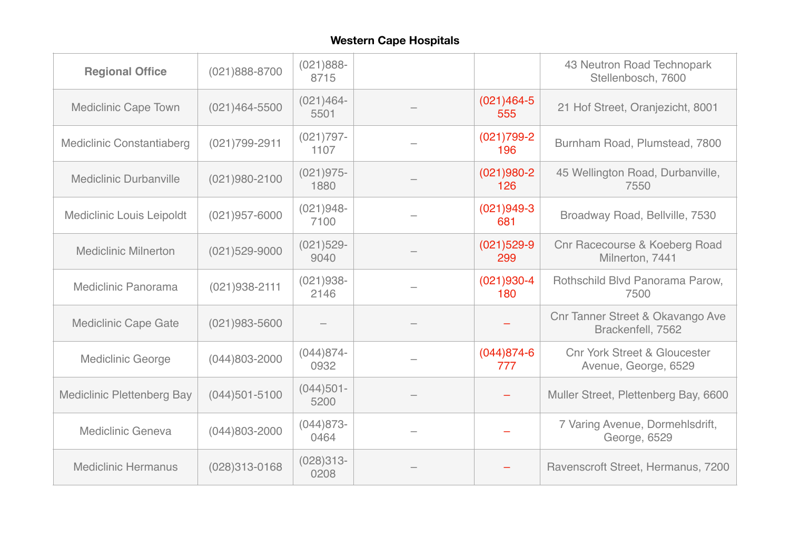## **Western Cape Hospitals**

| <b>Regional Office</b>            | $(021)888 - 8700$ | $(021)888 -$<br>8715 |                       | 43 Neutron Road Technopark<br>Stellenbosch, 7600                |
|-----------------------------------|-------------------|----------------------|-----------------------|-----------------------------------------------------------------|
| <b>Mediclinic Cape Town</b>       | $(021)464 - 5500$ | $(021)464 -$<br>5501 | $(021)464 - 5$<br>555 | 21 Hof Street, Oranjezicht, 8001                                |
| <b>Mediclinic Constantiaberg</b>  | $(021)799 - 2911$ | $(021)797 -$<br>1107 | $(021)799-2$<br>196   | Burnham Road, Plumstead, 7800                                   |
| <b>Mediclinic Durbanville</b>     | $(021)980 - 2100$ | $(021)975 -$<br>1880 | $(021)980 - 2$<br>126 | 45 Wellington Road, Durbanville,<br>7550                        |
| <b>Mediclinic Louis Leipoldt</b>  | $(021)957 - 6000$ | $(021)948 -$<br>7100 | $(021)949-3$<br>681   | Broadway Road, Bellville, 7530                                  |
| <b>Mediclinic Milnerton</b>       | $(021)529 - 9000$ | $(021)529 -$<br>9040 | $(021)529 - 9$<br>299 | <b>Cnr Racecourse &amp; Koeberg Road</b><br>Milnerton, 7441     |
| Mediclinic Panorama               | $(021)938 - 2111$ | $(021)938 -$<br>2146 | $(021)930-4$<br>180   | Rothschild Blvd Panorama Parow,<br>7500                         |
| <b>Mediclinic Cape Gate</b>       | $(021)983 - 5600$ |                      |                       | Cnr Tanner Street & Okavango Ave<br>Brackenfell, 7562           |
| <b>Mediclinic George</b>          | $(044)803 - 2000$ | $(044)874-$<br>0932  | $(044)874-6$<br>777   | <b>Cnr York Street &amp; Gloucester</b><br>Avenue, George, 6529 |
| <b>Mediclinic Plettenberg Bay</b> | $(044)501 - 5100$ | $(044)501 -$<br>5200 |                       | Muller Street, Plettenberg Bay, 6600                            |
| Mediclinic Geneva                 | $(044)803 - 2000$ | $(044)873-$<br>0464  |                       | 7 Varing Avenue, Dormehlsdrift,<br>George, 6529                 |
| <b>Mediclinic Hermanus</b>        | $(028)313 - 0168$ | $(028)313-$<br>0208  |                       | Ravenscroft Street, Hermanus, 7200                              |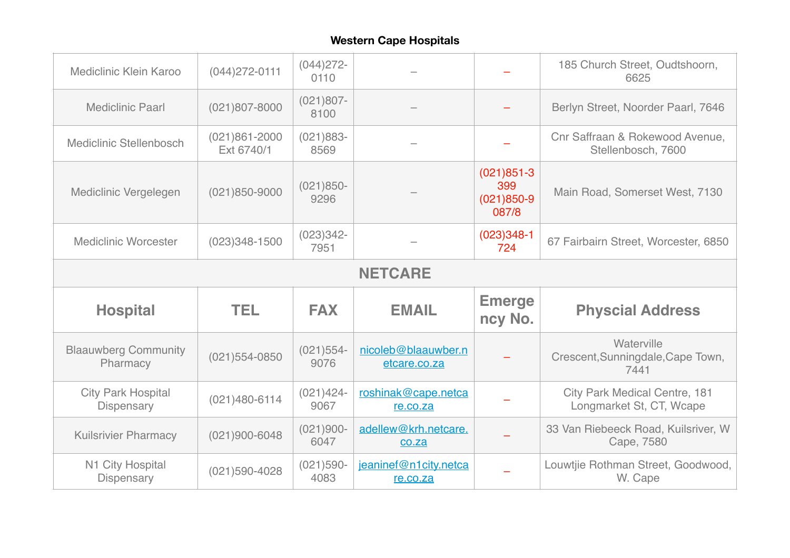## **Western Cape Hospitals**

| Mediclinic Klein Karoo                         | $(044)272 - 0111$               | $(044)272 -$<br>0110 |                                     |                                                | 185 Church Street, Oudtshoorn,<br>6625                           |  |  |
|------------------------------------------------|---------------------------------|----------------------|-------------------------------------|------------------------------------------------|------------------------------------------------------------------|--|--|
| <b>Mediclinic Paarl</b>                        | $(021)807 - 8000$               | $(021)807 -$<br>8100 |                                     |                                                | Berlyn Street, Noorder Paarl, 7646                               |  |  |
| Mediclinic Stellenbosch                        | $(021)861 - 2000$<br>Ext 6740/1 | $(021)883-$<br>8569  |                                     |                                                | Cnr Saffraan & Rokewood Avenue,<br>Stellenbosch, 7600            |  |  |
| Mediclinic Vergelegen                          | $(021)850 - 9000$               | $(021)850-$<br>9296  |                                     | $(021)851-3$<br>399<br>$(021)850 - 9$<br>087/8 | Main Road, Somerset West, 7130                                   |  |  |
| <b>Mediclinic Worcester</b>                    | $(023)348 - 1500$               | $(023)342 -$<br>7951 |                                     | $(023)348-1$<br>724                            | 67 Fairbairn Street, Worcester, 6850                             |  |  |
| <b>NETCARE</b>                                 |                                 |                      |                                     |                                                |                                                                  |  |  |
|                                                |                                 |                      |                                     |                                                |                                                                  |  |  |
| <b>Hospital</b>                                | <b>TEL</b>                      | <b>FAX</b>           | <b>EMAIL</b>                        | <b>Emerge</b><br>ncy No.                       | <b>Physcial Address</b>                                          |  |  |
| <b>Blaauwberg Community</b><br>Pharmacy        | $(021)554 - 0850$               | $(021)554-$<br>9076  | nicoleb@blaauwber.n<br>etcare.co.za |                                                | Waterville<br>Crescent, Sunningdale, Cape Town,<br>7441          |  |  |
| <b>City Park Hospital</b><br><b>Dispensary</b> | $(021)480 - 6114$               | $(021)424 -$<br>9067 | roshinak@cape.netca<br>re.co.za     |                                                | <b>City Park Medical Centre, 181</b><br>Longmarket St, CT, Wcape |  |  |
| <b>Kuilsrivier Pharmacy</b>                    | $(021)900 - 6048$               | $(021)900 -$<br>6047 | adellew@krh.netcare.<br>co.za       |                                                | 33 Van Riebeeck Road, Kuilsriver, W<br>Cape, 7580                |  |  |